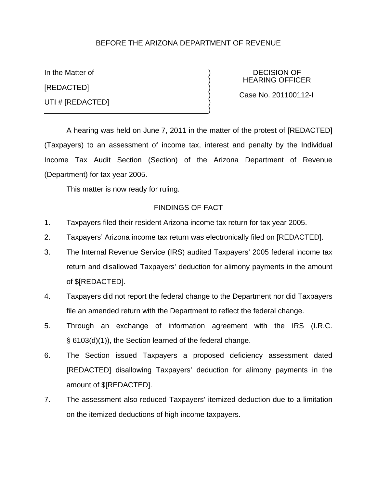## BEFORE THE ARIZONA DEPARTMENT OF REVENUE

[REDACTED] ) UTI # [REDACTED]

In the Matter of  $\overline{D}$  DECISION OF ) HEARING OFFICER

) Case No. 201100112-I

A hearing was held on June 7, 2011 in the matter of the protest of [REDACTED] (Taxpayers) to an assessment of income tax, interest and penalty by the Individual Income Tax Audit Section (Section) of the Arizona Department of Revenue (Department) for tax year 2005.

 $\big)$ 

This matter is now ready for ruling.

### FINDINGS OF FACT

- 1. Taxpayers filed their resident Arizona income tax return for tax year 2005.
- 2. Taxpayers' Arizona income tax return was electronically filed on [REDACTED].
- 3. The Internal Revenue Service (IRS) audited Taxpayers' 2005 federal income tax return and disallowed Taxpayers' deduction for alimony payments in the amount of \$[REDACTED].
- 4. Taxpayers did not report the federal change to the Department nor did Taxpayers file an amended return with the Department to reflect the federal change.
- 5. Through an exchange of information agreement with the IRS (I.R.C. § 6103(d)(1)), the Section learned of the federal change.
- 6. The Section issued Taxpayers a proposed deficiency assessment dated [REDACTED] disallowing Taxpayers' deduction for alimony payments in the amount of \$[REDACTED].
- 7. The assessment also reduced Taxpayers' itemized deduction due to a limitation on the itemized deductions of high income taxpayers.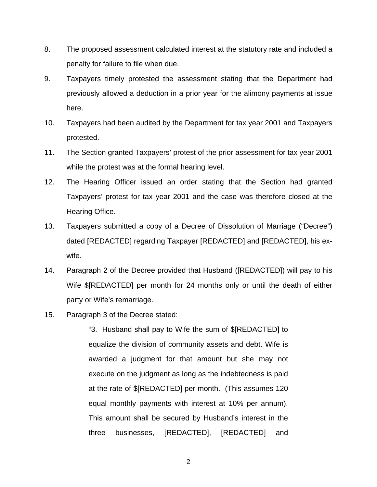- 8. The proposed assessment calculated interest at the statutory rate and included a penalty for failure to file when due.
- 9. Taxpayers timely protested the assessment stating that the Department had previously allowed a deduction in a prior year for the alimony payments at issue here.
- 10. Taxpayers had been audited by the Department for tax year 2001 and Taxpayers protested.
- 11. The Section granted Taxpayers' protest of the prior assessment for tax year 2001 while the protest was at the formal hearing level.
- 12. The Hearing Officer issued an order stating that the Section had granted Taxpayers' protest for tax year 2001 and the case was therefore closed at the Hearing Office.
- 13. Taxpayers submitted a copy of a Decree of Dissolution of Marriage ("Decree") dated [REDACTED] regarding Taxpayer [REDACTED] and [REDACTED], his exwife.
- 14. Paragraph 2 of the Decree provided that Husband ([REDACTED]) will pay to his Wife \$[REDACTED] per month for 24 months only or until the death of either party or Wife's remarriage.
- 15. Paragraph 3 of the Decree stated:

"3. Husband shall pay to Wife the sum of \$[REDACTED] to equalize the division of community assets and debt. Wife is awarded a judgment for that amount but she may not execute on the judgment as long as the indebtedness is paid at the rate of \$[REDACTED] per month. (This assumes 120 equal monthly payments with interest at 10% per annum). This amount shall be secured by Husband's interest in the three businesses, [REDACTED], [REDACTED] and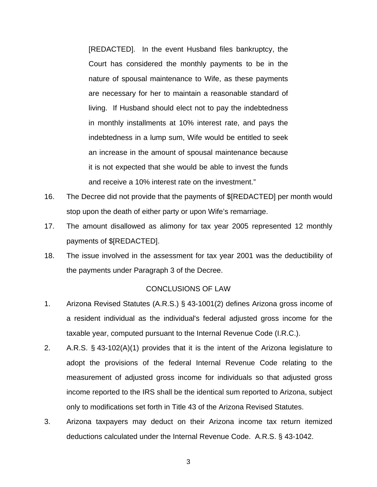[REDACTED]. In the event Husband files bankruptcy, the Court has considered the monthly payments to be in the nature of spousal maintenance to Wife, as these payments are necessary for her to maintain a reasonable standard of living. If Husband should elect not to pay the indebtedness in monthly installments at 10% interest rate, and pays the indebtedness in a lump sum, Wife would be entitled to seek an increase in the amount of spousal maintenance because it is not expected that she would be able to invest the funds and receive a 10% interest rate on the investment."

- 16. The Decree did not provide that the payments of \$[REDACTED] per month would stop upon the death of either party or upon Wife's remarriage.
- 17. The amount disallowed as alimony for tax year 2005 represented 12 monthly payments of \$[REDACTED].
- 18. The issue involved in the assessment for tax year 2001 was the deductibility of the payments under Paragraph 3 of the Decree.

#### CONCLUSIONS OF LAW

- 1. Arizona Revised Statutes (A.R.S.) § 43-1001(2) defines Arizona gross income of a resident individual as the individual's federal adjusted gross income for the taxable year, computed pursuant to the Internal Revenue Code (I.R.C.).
- 2. A.R.S. § 43-102(A)(1) provides that it is the intent of the Arizona legislature to adopt the provisions of the federal Internal Revenue Code relating to the measurement of adjusted gross income for individuals so that adjusted gross income reported to the IRS shall be the identical sum reported to Arizona, subject only to modifications set forth in Title 43 of the Arizona Revised Statutes.
- 3. Arizona taxpayers may deduct on their Arizona income tax return itemized deductions calculated under the Internal Revenue Code. A.R.S. § 43-1042.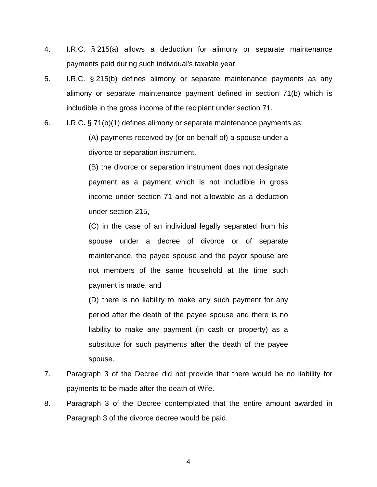- 4. I.R.C. § 215(a) allows a deduction for alimony or separate maintenance payments paid during such individual's taxable year.
- 5. I.R.C. § 215(b) defines alimony or separate maintenance payments as any alimony or separate maintenance payment defined in section 71(b) which is includible in the gross income of the recipient under section 71.
- 6. I.R.C**.** § 71(b)(1) defines alimony or separate maintenance payments as:

(A) payments received by (or on behalf of) a spouse under a divorce or separation instrument,

(B) the divorce or separation instrument does not designate payment as a payment which is not includible in gross income under section 71 and not allowable as a deduction under section 215,

(C) in the case of an individual legally separated from his spouse under a decree of divorce or of separate maintenance, the payee spouse and the payor spouse are not members of the same household at the time such payment is made, and

(D) there is no liability to make any such payment for any period after the death of the payee spouse and there is no liability to make any payment (in cash or property) as a substitute for such payments after the death of the payee spouse.

- 7. Paragraph 3 of the Decree did not provide that there would be no liability for payments to be made after the death of Wife.
- 8. Paragraph 3 of the Decree contemplated that the entire amount awarded in Paragraph 3 of the divorce decree would be paid.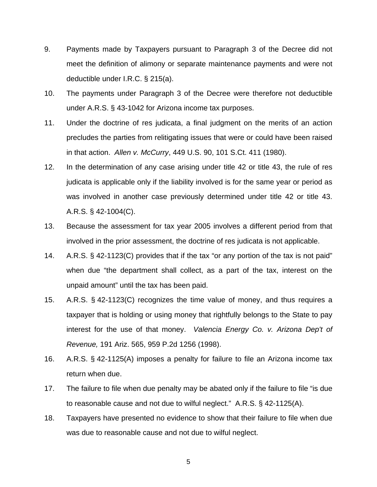- 9. Payments made by Taxpayers pursuant to Paragraph 3 of the Decree did not meet the definition of alimony or separate maintenance payments and were not deductible under I.R.C. § 215(a).
- 10. The payments under Paragraph 3 of the Decree were therefore not deductible under A.R.S. § 43-1042 for Arizona income tax purposes.
- 11. Under the doctrine of res judicata, a final judgment on the merits of an action precludes the parties from relitigating issues that were or could have been raised in that action. *Allen v. McCurry*, 449 U.S. 90, 101 S.Ct. 411 (1980).
- 12. In the determination of any case arising under title 42 or title 43, the rule of res judicata is applicable only if the liability involved is for the same year or period as was involved in another case previously determined under title 42 or title 43. A.R.S. § 42-1004(C).
- 13. Because the assessment for tax year 2005 involves a different period from that involved in the prior assessment, the doctrine of res judicata is not applicable.
- 14. A.R.S. § 42-1123(C) provides that if the tax "or any portion of the tax is not paid" when due "the department shall collect, as a part of the tax, interest on the unpaid amount" until the tax has been paid.
- 15. A.R.S. § 42-1123(C) recognizes the time value of money, and thus requires a taxpayer that is holding or using money that rightfully belongs to the State to pay interest for the use of that money. *Valencia Energy Co. v. Arizona Dep't of Revenue,* 191 Ariz. 565, 959 P.2d 1256 (1998).
- 16. A.R.S. § 42-1125(A) imposes a penalty for failure to file an Arizona income tax return when due.
- 17. The failure to file when due penalty may be abated only if the failure to file "is due to reasonable cause and not due to wilful neglect." A.R.S. § 42-1125(A).
- 18. Taxpayers have presented no evidence to show that their failure to file when due was due to reasonable cause and not due to wilful neglect.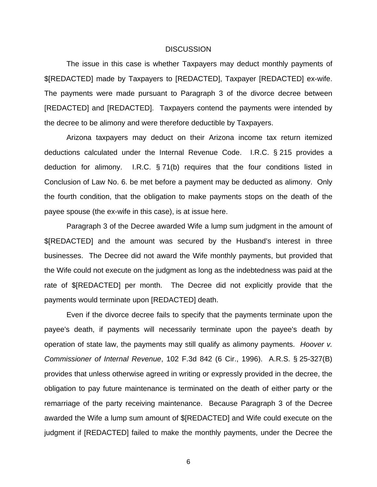#### **DISCUSSION**

The issue in this case is whether Taxpayers may deduct monthly payments of \$[REDACTED] made by Taxpayers to [REDACTED], Taxpayer [REDACTED] ex-wife. The payments were made pursuant to Paragraph 3 of the divorce decree between [REDACTED] and [REDACTED]. Taxpayers contend the payments were intended by the decree to be alimony and were therefore deductible by Taxpayers.

Arizona taxpayers may deduct on their Arizona income tax return itemized deductions calculated under the Internal Revenue Code. I.R.C. § 215 provides a deduction for alimony. I.R.C. § 71(b) requires that the four conditions listed in Conclusion of Law No. 6. be met before a payment may be deducted as alimony. Only the fourth condition, that the obligation to make payments stops on the death of the payee spouse (the ex-wife in this case), is at issue here.

Paragraph 3 of the Decree awarded Wife a lump sum judgment in the amount of \$[REDACTED] and the amount was secured by the Husband's interest in three businesses. The Decree did not award the Wife monthly payments, but provided that the Wife could not execute on the judgment as long as the indebtedness was paid at the rate of \$[REDACTED] per month. The Decree did not explicitly provide that the payments would terminate upon [REDACTED] death.

Even if the divorce decree fails to specify that the payments terminate upon the payee's death, if payments will necessarily terminate upon the payee's death by operation of state law, the payments may still qualify as alimony payments. *Hoover v. Commissioner of Internal Revenue*, 102 F.3d 842 (6 Cir., 1996). A.R.S. § 25-327(B) provides that unless otherwise agreed in writing or expressly provided in the decree, the obligation to pay future maintenance is terminated on the death of either party or the remarriage of the party receiving maintenance. Because Paragraph 3 of the Decree awarded the Wife a lump sum amount of \$[REDACTED] and Wife could execute on the judgment if [REDACTED] failed to make the monthly payments, under the Decree the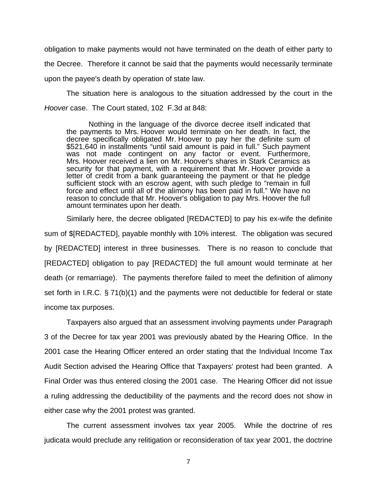obligation to make payments would not have terminated on the death of either party to the Decree. Therefore it cannot be said that the payments would necessarily terminate upon the payee's death by operation of state law.

The situation here is analogous to the situation addressed by the court in the *Hoover* case. The Court stated, 102 F.3d at 848:

Nothing in the language of the divorce decree itself indicated that the payments to Mrs. Hoover would terminate on her death. In fact, the decree specifically obligated Mr. Hoover to pay her the definite sum of \$521,640 in installments "until said amount is paid in full." Such payment was not made contingent on any factor or event. Furthermore, Mrs. Hoover received a lien on Mr. Hoover's shares in Stark Ceramics as security for that payment, with a requirement that Mr. Hoover provide a letter of credit from a bank guaranteeing the payment or that he pledge sufficient stock with an escrow agent, with such pledge to "remain in full force and effect until all of the alimony has been paid in full." We have no reason to conclude that Mr. Hoover's obligation to pay Mrs. Hoover the full amount terminates upon her death.

Similarly here, the decree obligated [REDACTED] to pay his ex-wife the definite sum of \$[REDACTED], payable monthly with 10% interest. The obligation was secured by [REDACTED] interest in three businesses. There is no reason to conclude that [REDACTED] obligation to pay [REDACTED] the full amount would terminate at her death (or remarriage). The payments therefore failed to meet the definition of alimony set forth in I.R.C. § 71(b)(1) and the payments were not deductible for federal or state income tax purposes.

Taxpayers also argued that an assessment involving payments under Paragraph 3 of the Decree for tax year 2001 was previously abated by the Hearing Office. In the 2001 case the Hearing Officer entered an order stating that the Individual Income Tax Audit Section advised the Hearing Office that Taxpayers' protest had been granted. A Final Order was thus entered closing the 2001 case. The Hearing Officer did not issue a ruling addressing the deductibility of the payments and the record does not show in either case why the 2001 protest was granted.

The current assessment involves tax year 2005. While the doctrine of res judicata would preclude any relitigation or reconsideration of tax year 2001, the doctrine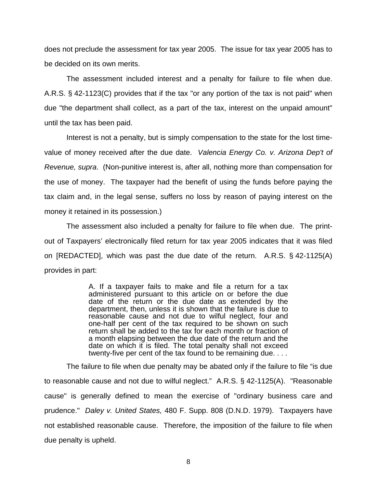does not preclude the assessment for tax year 2005. The issue for tax year 2005 has to be decided on its own merits.

The assessment included interest and a penalty for failure to file when due. A.R.S. § 42-1123(C) provides that if the tax "or any portion of the tax is not paid" when due "the department shall collect, as a part of the tax, interest on the unpaid amount" until the tax has been paid.

Interest is not a penalty, but is simply compensation to the state for the lost timevalue of money received after the due date. *Valencia Energy Co. v. Arizona Dep't of Revenue, supra*. (Non-punitive interest is, after all, nothing more than compensation for the use of money. The taxpayer had the benefit of using the funds before paying the tax claim and, in the legal sense, suffers no loss by reason of paying interest on the money it retained in its possession.)

The assessment also included a penalty for failure to file when due. The printout of Taxpayers' electronically filed return for tax year 2005 indicates that it was filed on [REDACTED], which was past the due date of the return. A.R.S. § 42-1125(A) provides in part:

> A. If a taxpayer fails to make and file a return for a tax administered pursuant to this article on or before the due date of the return or the due date as extended by the department, then, unless it is shown that the failure is due to reasonable cause and not due to wilful neglect, four and one-half per cent of the tax required to be shown on such return shall be added to the tax for each month or fraction of a month elapsing between the due date of the return and the date on which it is filed. The total penalty shall not exceed twenty-five per cent of the tax found to be remaining due. . . .

The failure to file when due penalty may be abated only if the failure to file "is due to reasonable cause and not due to wilful neglect." A.R.S. § 42-1125(A). "Reasonable cause" is generally defined to mean the exercise of "ordinary business care and prudence." *Daley v. United States,* 480 F. Supp. 808 (D.N.D. 1979). Taxpayers have not established reasonable cause. Therefore, the imposition of the failure to file when due penalty is upheld.